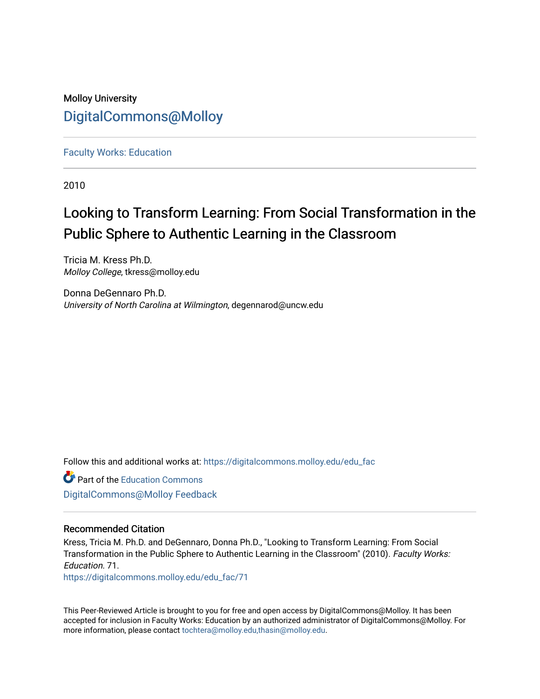## Molloy University [DigitalCommons@Molloy](https://digitalcommons.molloy.edu/)

[Faculty Works: Education](https://digitalcommons.molloy.edu/edu_fac) 

2010

# Looking to Transform Learning: From Social Transformation in the Public Sphere to Authentic Learning in the Classroom

Tricia M. Kress Ph.D. Molloy College, tkress@molloy.edu

Donna DeGennaro Ph.D. University of North Carolina at Wilmington, degennarod@uncw.edu

Follow this and additional works at: [https://digitalcommons.molloy.edu/edu\\_fac](https://digitalcommons.molloy.edu/edu_fac?utm_source=digitalcommons.molloy.edu%2Fedu_fac%2F71&utm_medium=PDF&utm_campaign=PDFCoverPages)

Part of the [Education Commons](https://network.bepress.com/hgg/discipline/784?utm_source=digitalcommons.molloy.edu%2Fedu_fac%2F71&utm_medium=PDF&utm_campaign=PDFCoverPages) [DigitalCommons@Molloy Feedback](https://molloy.libwizard.com/f/dcfeedback)

### Recommended Citation

Kress, Tricia M. Ph.D. and DeGennaro, Donna Ph.D., "Looking to Transform Learning: From Social Transformation in the Public Sphere to Authentic Learning in the Classroom" (2010). Faculty Works: Education. 71.

[https://digitalcommons.molloy.edu/edu\\_fac/71](https://digitalcommons.molloy.edu/edu_fac/71?utm_source=digitalcommons.molloy.edu%2Fedu_fac%2F71&utm_medium=PDF&utm_campaign=PDFCoverPages) 

This Peer-Reviewed Article is brought to you for free and open access by DigitalCommons@Molloy. It has been accepted for inclusion in Faculty Works: Education by an authorized administrator of DigitalCommons@Molloy. For more information, please contact [tochtera@molloy.edu,thasin@molloy.edu.](mailto:tochtera@molloy.edu,thasin@molloy.edu)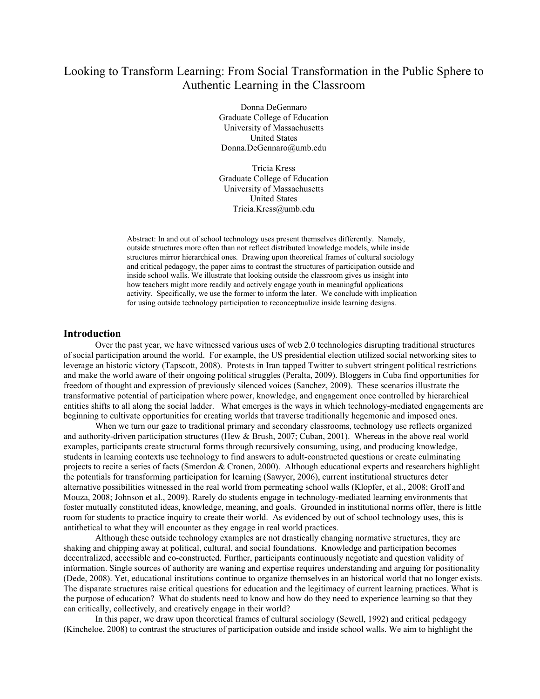## Looking to Transform Learning: From Social Transformation in the Public Sphere to Authentic Learning in the Classroom

Donna DeGennaro Graduate College of Education University of Massachusetts United States Donna.DeGennaro@umb.edu

Tricia Kress Graduate College of Education University of Massachusetts United States Tricia.Kress@umb.edu

Abstract: In and out of school technology uses present themselves differently. Namely, outside structures more often than not reflect distributed knowledge models, while inside structures mirror hierarchical ones. Drawing upon theoretical frames of cultural sociology and critical pedagogy, the paper aims to contrast the structures of participation outside and inside school walls. We illustrate that looking outside the classroom gives us insight into how teachers might more readily and actively engage youth in meaningful applications activity. Specifically, we use the former to inform the later. We conclude with implication for using outside technology participation to reconceptualize inside learning designs.

#### **Introduction**

Over the past year, we have witnessed various uses of web 2.0 technologies disrupting traditional structures of social participation around the world. For example, the US presidential election utilized social networking sites to leverage an historic victory (Tapscott, 2008). Protests in Iran tapped Twitter to subvert stringent political restrictions and make the world aware of their ongoing political struggles (Peralta, 2009). Bloggers in Cuba find opportunities for freedom of thought and expression of previously silenced voices (Sanchez, 2009). These scenarios illustrate the transformative potential of participation where power, knowledge, and engagement once controlled by hierarchical entities shifts to all along the social ladder. What emerges is the ways in which technology-mediated engagements are beginning to cultivate opportunities for creating worlds that traverse traditionally hegemonic and imposed ones.

When we turn our gaze to traditional primary and secondary classrooms, technology use reflects organized and authority-driven participation structures (Hew & Brush, 2007; Cuban, 2001). Whereas in the above real world examples, participants create structural forms through recursively consuming, using, and producing knowledge, students in learning contexts use technology to find answers to adult-constructed questions or create culminating projects to recite a series of facts (Smerdon & Cronen, 2000). Although educational experts and researchers highlight the potentials for transforming participation for learning (Sawyer, 2006), current institutional structures deter alternative possibilities witnessed in the real world from permeating school walls (Klopfer, et al., 2008; Groff and Mouza, 2008; Johnson et al., 2009). Rarely do students engage in technology-mediated learning environments that foster mutually constituted ideas, knowledge, meaning, and goals. Grounded in institutional norms offer, there is little room for students to practice inquiry to create their world. As evidenced by out of school technology uses, this is antithetical to what they will encounter as they engage in real world practices.

Although these outside technology examples are not drastically changing normative structures, they are shaking and chipping away at political, cultural, and social foundations. Knowledge and participation becomes decentralized, accessible and co-constructed. Further, participants continuously negotiate and question validity of information. Single sources of authority are waning and expertise requires understanding and arguing for positionality (Dede, 2008). Yet, educational institutions continue to organize themselves in an historical world that no longer exists. The disparate structures raise critical questions for education and the legitimacy of current learning practices. What is the purpose of education? What do students need to know and how do they need to experience learning so that they can critically, collectively, and creatively engage in their world?

In this paper, we draw upon theoretical frames of cultural sociology (Sewell, 1992) and critical pedagogy (Kincheloe, 2008) to contrast the structures of participation outside and inside school walls. We aim to highlight the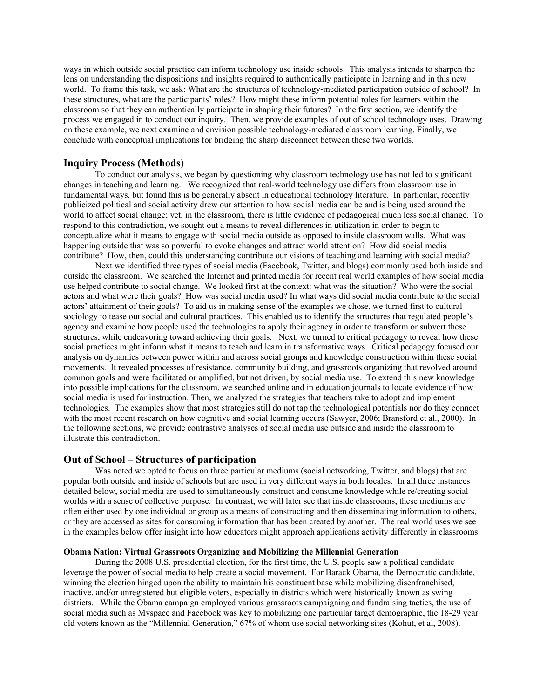ways in which outside social practice can inform technology use inside schools. This analysis intends to sharpen the lens on understanding the dispositions and insights required to authentically participate in learning and in this new world. To frame this task, we ask: What are the structures of technology-mediated participation outside of school? In these structures, what are the participants' roles? How might these inform potential roles for learners within the classroom so that they can authentically participate in shaping their futures? In the first section, we identify the process we engaged in to conduct our inquiry. Then, we provide examples of out of school technology uses. Drawing on these example, we next examine and envision possible technology-mediated classroom learning. Finally, we conclude with conceptual implications for bridging the sharp disconnect between these two worlds.

#### **Inquiry Process (Methods)**

To conduct our analysis, we began by questioning why classroom technology use has not led to significant changes in teaching and learning. We recognized that real-world technology use differs from classroom use in fundamental ways, but found this is be generally absent in educational technology literature. In particular, recently publicized political and social activity drew our attention to how social media can be and is being used around the world to affect social change; yet, in the classroom, there is little evidence of pedagogical much less social change. To respond to this contradiction, we sought out a means to reveal differences in utilization in order to begin to conceptualize what it means to engage with social media outside as opposed to inside classroom walls. What was happening outside that was so powerful to evoke changes and attract world attention? How did social media contribute? How, then, could this understanding contribute our visions of teaching and learning with social media?

Next we identified three types of social media (Facebook, Twitter, and blogs) commonly used both inside and outside the classroom. We searched the Internet and printed media for recent real world examples of how social media use helped contribute to social change. We looked first at the context: what was the situation? Who were the social actors and what were their goals? How was social media used? In what ways did social media contribute to the social actors' attainment of their goals? To aid us in making sense of the examples we chose, we turned first to cultural sociology to tease out social and cultural practices. This enabled us to identify the structures that regulated people's agency and examine how people used the technologies to apply their agency in order to transform or subvert these structures, while endeavoring toward achieving their goals. Next, we turned to critical pedagogy to reveal how these social practices might inform what it means to teach and learn in transformative ways. Critical pedagogy focused our analysis on dynamics between power within and across social groups and knowledge construction within these social movements. It revealed processes of resistance, community building, and grassroots organizing that revolved around common goals and were facilitated or amplified, but not driven, by social media use. To extend this new knowledge into possible implications for the classroom, we searched online and in education journals to locate evidence of how social media is used for instruction. Then, we analyzed the strategies that teachers take to adopt and implement technologies. The examples show that most strategies still do not tap the technological potentials nor do they connect with the most recent research on how cognitive and social learning occurs (Sawyer, 2006; Bransford et al., 2000). In the following sections, we provide contrastive analyses of social media use outside and inside the classroom to illustrate this contradiction.

#### **Out of School – Structures of participation**

Was noted we opted to focus on three particular mediums (social networking, Twitter, and blogs) that are popular both outside and inside of schools but are used in very different ways in both locales. In all three instances detailed below, social media are used to simultaneously construct and consume knowledge while re/creating social worlds with a sense of collective purpose. In contrast, we will later see that inside classrooms, these mediums are often either used by one individual or group as a means of constructing and then disseminating information to others, or they are accessed as sites for consuming information that has been created by another. The real world uses we see in the examples below offer insight into how educators might approach applications activity differently in classrooms.

#### **Obama Nation: Virtual Grassroots Organizing and Mobilizing the Millennial Generation**

During the 2008 U.S. presidential election, for the first time, the U.S. people saw a political candidate leverage the power of social media to help create a social movement. For Barack Obama, the Democratic candidate, winning the election hinged upon the ability to maintain his constituent base while mobilizing disenfranchised, inactive, and/or unregistered but eligible voters, especially in districts which were historically known as swing districts. While the Obama campaign employed various grassroots campaigning and fundraising tactics, the use of social media such as Myspace and Facebook was key to mobilizing one particular target demographic, the 18-29 year old voters known as the "Millennial Generation," 67% of whom use social networking sites (Kohut, et al, 2008).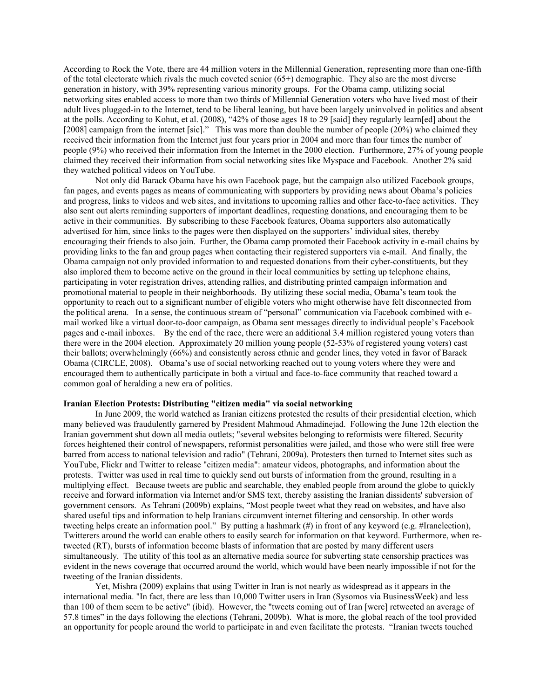According to Rock the Vote, there are 44 million voters in the Millennial Generation, representing more than one-fifth of the total electorate which rivals the much coveted senior (65+) demographic. They also are the most diverse generation in history, with 39% representing various minority groups. For the Obama camp, utilizing social networking sites enabled access to more than two thirds of Millennial Generation voters who have lived most of their adult lives plugged-in to the Internet, tend to be liberal leaning, but have been largely uninvolved in politics and absent at the polls. According to Kohut, et al. (2008), "42% of those ages 18 to 29 [said] they regularly learn[ed] about the [2008] campaign from the internet [sic]." This was more than double the number of people (20%) who claimed they received their information from the Internet just four years prior in 2004 and more than four times the number of people (9%) who received their information from the Internet in the 2000 election. Furthermore, 27% of young people claimed they received their information from social networking sites like Myspace and Facebook. Another 2% said they watched political videos on YouTube.

Not only did Barack Obama have his own Facebook page, but the campaign also utilized Facebook groups, fan pages, and events pages as means of communicating with supporters by providing news about Obama's policies and progress, links to videos and web sites, and invitations to upcoming rallies and other face-to-face activities. They also sent out alerts reminding supporters of important deadlines, requesting donations, and encouraging them to be active in their communities. By subscribing to these Facebook features, Obama supporters also automatically advertised for him, since links to the pages were then displayed on the supporters' individual sites, thereby encouraging their friends to also join. Further, the Obama camp promoted their Facebook activity in e-mail chains by providing links to the fan and group pages when contacting their registered supporters via e-mail. And finally, the Obama campaign not only provided information to and requested donations from their cyber-constituents, but they also implored them to become active on the ground in their local communities by setting up telephone chains, participating in voter registration drives, attending rallies, and distributing printed campaign information and promotional material to people in their neighborhoods. By utilizing these social media, Obama's team took the opportunity to reach out to a significant number of eligible voters who might otherwise have felt disconnected from the political arena. In a sense, the continuous stream of "personal" communication via Facebook combined with email worked like a virtual door-to-door campaign, as Obama sent messages directly to individual people's Facebook pages and e-mail inboxes. By the end of the race, there were an additional 3.4 million registered young voters than there were in the 2004 election. Approximately 20 million young people (52-53% of registered young voters) cast their ballots; overwhelmingly (66%) and consistently across ethnic and gender lines, they voted in favor of Barack Obama (CIRCLE, 2008). Obama's use of social networking reached out to young voters where they were and encouraged them to authentically participate in both a virtual and face-to-face community that reached toward a common goal of heralding a new era of politics.

#### **Iranian Election Protests: Distributing "citizen media" via social networking**

In June 2009, the world watched as Iranian citizens protested the results of their presidential election, which many believed was fraudulently garnered by President Mahmoud Ahmadinejad. Following the June 12th election the Iranian government shut down all media outlets; "several websites belonging to reformists were filtered. Security forces heightened their control of newspapers, reformist personalities were jailed, and those who were still free were barred from access to national television and radio" (Tehrani, 2009a). Protesters then turned to Internet sites such as YouTube, Flickr and Twitter to release "citizen media": amateur videos, photographs, and information about the protests. Twitter was used in real time to quickly send out bursts of information from the ground, resulting in a multiplying effect. Because tweets are public and searchable, they enabled people from around the globe to quickly receive and forward information via Internet and/or SMS text, thereby assisting the Iranian dissidents' subversion of government censors. As Tehrani (2009b) explains, "Most people tweet what they read on websites, and have also shared useful tips and information to help Iranians circumvent internet filtering and censorship. In other words tweeting helps create an information pool." By putting a hashmark (#) in front of any keyword (e.g. #Iranelection), Twitterers around the world can enable others to easily search for information on that keyword. Furthermore, when retweeted (RT), bursts of information become blasts of information that are posted by many different users simultaneously. The utility of this tool as an alternative media source for subverting state censorship practices was evident in the news coverage that occurred around the world, which would have been nearly impossible if not for the tweeting of the Iranian dissidents.

Yet, Mishra (2009) explains that using Twitter in Iran is not nearly as widespread as it appears in the international media. "In fact, there are less than 10,000 Twitter users in Iran (Sysomos via BusinessWeek) and less than 100 of them seem to be active" (ibid). However, the "tweets coming out of Iran [were] retweeted an average of 57.8 times" in the days following the elections (Tehrani, 2009b). What is more, the global reach of the tool provided an opportunity for people around the world to participate in and even facilitate the protests. "Iranian tweets touched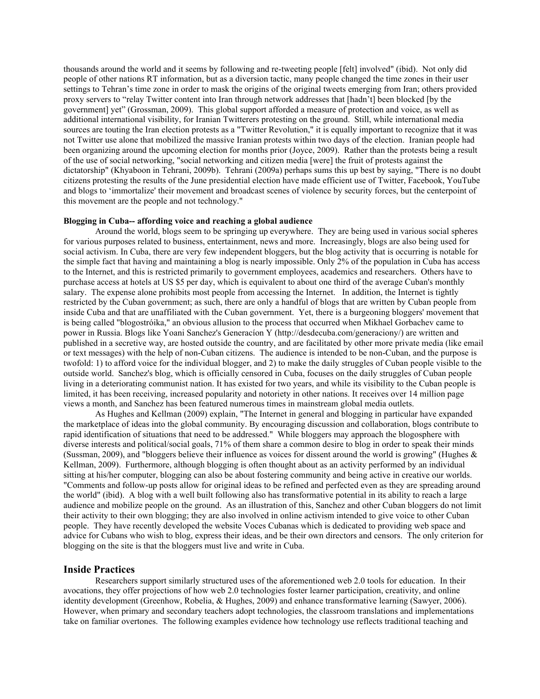thousands around the world and it seems by following and re-tweeting people [felt] involved" (ibid). Not only did people of other nations RT information, but as a diversion tactic, many people changed the time zones in their user settings to Tehran's time zone in order to mask the origins of the original tweets emerging from Iran; others provided proxy servers to "relay Twitter content into Iran through network addresses that [hadn't] been blocked [by the government] yet" (Grossman, 2009). This global support afforded a measure of protection and voice, as well as additional international visibility, for Iranian Twitterers protesting on the ground. Still, while international media sources are touting the Iran election protests as a "Twitter Revolution," it is equally important to recognize that it was not Twitter use alone that mobilized the massive Iranian protests within two days of the election. Iranian people had been organizing around the upcoming election for months prior (Joyce, 2009). Rather than the protests being a result of the use of social networking, "social networking and citizen media [were] the fruit of protests against the dictatorship" (Khyaboon in Tehrani, 2009b). Tehrani (2009a) perhaps sums this up best by saying, "There is no doubt citizens protesting the results of the June presidential election have made efficient use of Twitter, Facebook, YouTube and blogs to 'immortalize' their movement and broadcast scenes of violence by security forces, but the centerpoint of this movement are the people and not technology."

#### **Blogging in Cuba-- affording voice and reaching a global audience**

Around the world, blogs seem to be springing up everywhere. They are being used in various social spheres for various purposes related to business, entertainment, news and more. Increasingly, blogs are also being used for social activism. In Cuba, there are very few independent bloggers, but the blog activity that is occurring is notable for the simple fact that having and maintaining a blog is nearly impossible. Only 2% of the population in Cuba has access to the Internet, and this is restricted primarily to government employees, academics and researchers. Others have to purchase access at hotels at US \$5 per day, which is equivalent to about one third of the average Cuban's monthly salary. The expense alone prohibits most people from accessing the Internet. In addition, the Internet is tightly restricted by the Cuban government; as such, there are only a handful of blogs that are written by Cuban people from inside Cuba and that are unaffiliated with the Cuban government. Yet, there is a burgeoning bloggers' movement that is being called "blogostróika," an obvious allusion to the process that occurred when Mikhael Gorbachev came to power in Russia. Blogs like Yoani Sanchez's Generacíon Y (http://desdecuba.com/generaciony/) are written and published in a secretive way, are hosted outside the country, and are facilitated by other more private media (like email or text messages) with the help of non-Cuban citizens. The audience is intended to be non-Cuban, and the purpose is twofold: 1) to afford voice for the individual blogger, and 2) to make the daily struggles of Cuban people visible to the outside world. Sanchez's blog, which is officially censored in Cuba, focuses on the daily struggles of Cuban people living in a deteriorating communist nation. It has existed for two years, and while its visibility to the Cuban people is limited, it has been receiving, increased popularity and notoriety in other nations. It receives over 14 million page views a month, and Sanchez has been featured numerous times in mainstream global media outlets.

As Hughes and Kellman (2009) explain, "The Internet in general and blogging in particular have expanded the marketplace of ideas into the global community. By encouraging discussion and collaboration, blogs contribute to rapid identification of situations that need to be addressed." While bloggers may approach the blogosphere with diverse interests and political/social goals, 71% of them share a common desire to blog in order to speak their minds (Sussman, 2009), and "bloggers believe their influence as voices for dissent around the world is growing" (Hughes & Kellman, 2009). Furthermore, although blogging is often thought about as an activity performed by an individual sitting at his/her computer, blogging can also be about fostering community and being active in creative our worlds. "Comments and follow-up posts allow for original ideas to be refined and perfected even as they are spreading around the world" (ibid). A blog with a well built following also has transformative potential in its ability to reach a large audience and mobilize people on the ground. As an illustration of this, Sanchez and other Cuban bloggers do not limit their activity to their own blogging; they are also involved in online activism intended to give voice to other Cuban people. They have recently developed the website Voces Cubanas which is dedicated to providing web space and advice for Cubans who wish to blog, express their ideas, and be their own directors and censors. The only criterion for blogging on the site is that the bloggers must live and write in Cuba.

#### **Inside Practices**

Researchers support similarly structured uses of the aforementioned web 2.0 tools for education. In their avocations, they offer projections of how web 2.0 technologies foster learner participation, creativity, and online identity development (Greenhow, Robelia, & Hughes, 2009) and enhance transformative learning (Sawyer, 2006). However, when primary and secondary teachers adopt technologies, the classroom translations and implementations take on familiar overtones. The following examples evidence how technology use reflects traditional teaching and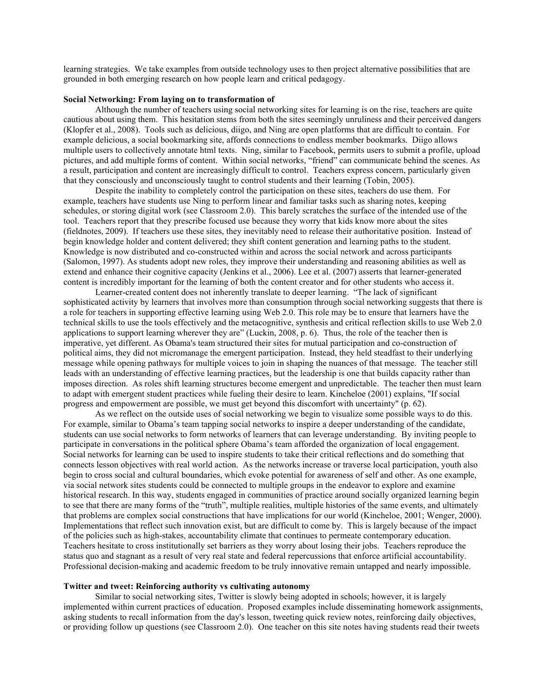learning strategies. We take examples from outside technology uses to then project alternative possibilities that are grounded in both emerging research on how people learn and critical pedagogy.

#### **Social Networking: From laying on to transformation of**

Although the number of teachers using social networking sites for learning is on the rise, teachers are quite cautious about using them. This hesitation stems from both the sites seemingly unruliness and their perceived dangers (Klopfer et al., 2008). Tools such as delicious, diigo, and Ning are open platforms that are difficult to contain. For example delicious, a social bookmarking site, affords connections to endless member bookmarks. Diigo allows multiple users to collectively annotate html texts. Ning, similar to Facebook, permits users to submit a profile, upload pictures, and add multiple forms of content. Within social networks, "friend" can communicate behind the scenes. As a result, participation and content are increasingly difficult to control. Teachers express concern, particularly given that they consciously and unconsciously taught to control students and their learning (Tobin, 2005).

Despite the inability to completely control the participation on these sites, teachers do use them. For example, teachers have students use Ning to perform linear and familiar tasks such as sharing notes, keeping schedules, or storing digital work (see Classroom 2.0). This barely scratches the surface of the intended use of the tool. Teachers report that they prescribe focused use because they worry that kids know more about the sites (fieldnotes, 2009). If teachers use these sites, they inevitably need to release their authoritative position. Instead of begin knowledge holder and content delivered; they shift content generation and learning paths to the student. Knowledge is now distributed and co-constructed within and across the social network and across participants (Salomon, 1997). As students adopt new roles, they improve their understanding and reasoning abilities as well as extend and enhance their cognitive capacity (Jenkins et al., 2006). Lee et al. (2007) asserts that learner-generated content is incredibly important for the learning of both the content creator and for other students who access it.

Learner-created content does not inherently translate to deeper learning. "The lack of significant sophisticated activity by learners that involves more than consumption through social networking suggests that there is a role for teachers in supporting effective learning using Web 2.0. This role may be to ensure that learners have the technical skills to use the tools effectively and the metacognitive, synthesis and critical reflection skills to use Web 2.0 applications to support learning wherever they are" (Luckin, 2008, p. 6). Thus, the role of the teacher then is imperative, yet different. As Obama's team structured their sites for mutual participation and co-construction of political aims, they did not micromanage the emergent participation. Instead, they held steadfast to their underlying message while opening pathways for multiple voices to join in shaping the nuances of that message. The teacher still leads with an understanding of effective learning practices, but the leadership is one that builds capacity rather than imposes direction. As roles shift learning structures become emergent and unpredictable. The teacher then must learn to adapt with emergent student practices while fueling their desire to learn. Kincheloe (2001) explains, "If social progress and empowerment are possible, we must get beyond this discomfort with uncertainty" (p. 62).

As we reflect on the outside uses of social networking we begin to visualize some possible ways to do this. For example, similar to Obama's team tapping social networks to inspire a deeper understanding of the candidate, students can use social networks to form networks of learners that can leverage understanding. By inviting people to participate in conversations in the political sphere Obama's team afforded the organization of local engagement. Social networks for learning can be used to inspire students to take their critical reflections and do something that connects lesson objectives with real world action. As the networks increase or traverse local participation, youth also begin to cross social and cultural boundaries, which evoke potential for awareness of self and other. As one example, via social network sites students could be connected to multiple groups in the endeavor to explore and examine historical research. In this way, students engaged in communities of practice around socially organized learning begin to see that there are many forms of the "truth", multiple realities, multiple histories of the same events, and ultimately that problems are complex social constructions that have implications for our world (Kincheloe, 2001; Wenger, 2000). Implementations that reflect such innovation exist, but are difficult to come by. This is largely because of the impact of the policies such as high-stakes, accountability climate that continues to permeate contemporary education. Teachers hesitate to cross institutionally set barriers as they worry about losing their jobs. Teachers reproduce the status quo and stagnant as a result of very real state and federal repercussions that enforce artificial accountability. Professional decision-making and academic freedom to be truly innovative remain untapped and nearly impossible.

#### **Twitter and tweet: Reinforcing authority vs cultivating autonomy**

Similar to social networking sites, Twitter is slowly being adopted in schools; however, it is largely implemented within current practices of education. Proposed examples include disseminating homework assignments, asking students to recall information from the day's lesson, tweeting quick review notes, reinforcing daily objectives, or providing follow up questions (see Classroom 2.0). One teacher on this site notes having students read their tweets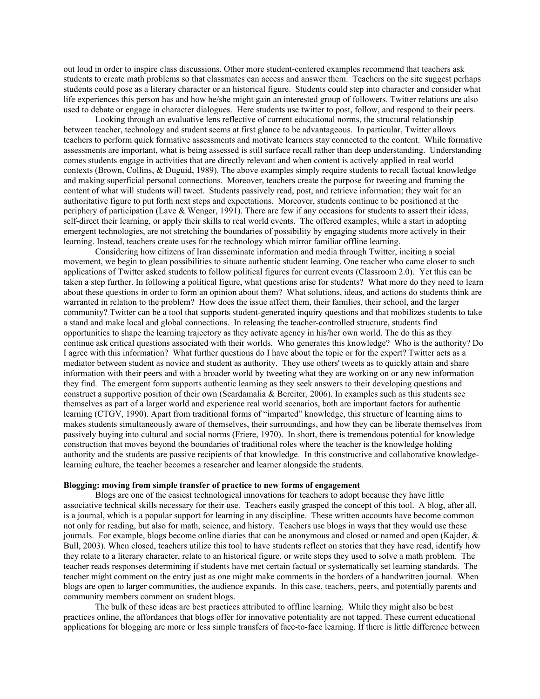out loud in order to inspire class discussions. Other more student-centered examples recommend that teachers ask students to create math problems so that classmates can access and answer them. Teachers on the site suggest perhaps students could pose as a literary character or an historical figure. Students could step into character and consider what life experiences this person has and how he/she might gain an interested group of followers. Twitter relations are also used to debate or engage in character dialogues. Here students use twitter to post, follow, and respond to their peers.

Looking through an evaluative lens reflective of current educational norms, the structural relationship between teacher, technology and student seems at first glance to be advantageous. In particular, Twitter allows teachers to perform quick formative assessments and motivate learners stay connected to the content. While formative assessments are important, what is being assessed is still surface recall rather than deep understanding. Understanding comes students engage in activities that are directly relevant and when content is actively applied in real world contexts (Brown, Collins, & Duguid, 1989). The above examples simply require students to recall factual knowledge and making superficial personal connections. Moreover, teachers create the purpose for tweeting and framing the content of what will students will tweet. Students passively read, post, and retrieve information; they wait for an authoritative figure to put forth next steps and expectations. Moreover, students continue to be positioned at the periphery of participation (Lave & Wenger, 1991). There are few if any occasions for students to assert their ideas, self-direct their learning, or apply their skills to real world events. The offered examples, while a start in adopting emergent technologies, are not stretching the boundaries of possibility by engaging students more actively in their learning. Instead, teachers create uses for the technology which mirror familiar offline learning.

Considering how citizens of Iran disseminate information and media through Twitter, inciting a social movement, we begin to glean possibilities to situate authentic student learning. One teacher who came closer to such applications of Twitter asked students to follow political figures for current events (Classroom 2.0). Yet this can be taken a step further. In following a political figure, what questions arise for students? What more do they need to learn about these questions in order to form an opinion about them? What solutions, ideas, and actions do students think are warranted in relation to the problem? How does the issue affect them, their families, their school, and the larger community? Twitter can be a tool that supports student-generated inquiry questions and that mobilizes students to take a stand and make local and global connections. In releasing the teacher-controlled structure, students find opportunities to shape the learning trajectory as they activate agency in his/her own world. The do this as they continue ask critical questions associated with their worlds. Who generates this knowledge? Who is the authority? Do I agree with this information? What further questions do I have about the topic or for the expert? Twitter acts as a mediator between student as novice and student as authority. They use others' tweets as to quickly attain and share information with their peers and with a broader world by tweeting what they are working on or any new information they find. The emergent form supports authentic learning as they seek answers to their developing questions and construct a supportive position of their own (Scardamalia & Bereiter, 2006). In examples such as this students see themselves as part of a larger world and experience real world scenarios, both are important factors for authentic learning (CTGV, 1990). Apart from traditional forms of "imparted" knowledge, this structure of learning aims to makes students simultaneously aware of themselves, their surroundings, and how they can be liberate themselves from passively buying into cultural and social norms (Friere, 1970). In short, there is tremendous potential for knowledge construction that moves beyond the boundaries of traditional roles where the teacher is the knowledge holding authority and the students are passive recipients of that knowledge. In this constructive and collaborative knowledgelearning culture, the teacher becomes a researcher and learner alongside the students.

#### **Blogging: moving from simple transfer of practice to new forms of engagement**

Blogs are one of the easiest technological innovations for teachers to adopt because they have little associative technical skills necessary for their use. Teachers easily grasped the concept of this tool. A blog, after all, is a journal, which is a popular support for learning in any discipline. These written accounts have become common not only for reading, but also for math, science, and history. Teachers use blogs in ways that they would use these journals. For example, blogs become online diaries that can be anonymous and closed or named and open (Kajder, & Bull, 2003). When closed, teachers utilize this tool to have students reflect on stories that they have read, identify how they relate to a literary character, relate to an historical figure, or write steps they used to solve a math problem. The teacher reads responses determining if students have met certain factual or systematically set learning standards. The teacher might comment on the entry just as one might make comments in the borders of a handwritten journal. When blogs are open to larger communities, the audience expands. In this case, teachers, peers, and potentially parents and community members comment on student blogs.

The bulk of these ideas are best practices attributed to offline learning. While they might also be best practices online, the affordances that blogs offer for innovative potentiality are not tapped. These current educational applications for blogging are more or less simple transfers of face-to-face learning. If there is little difference between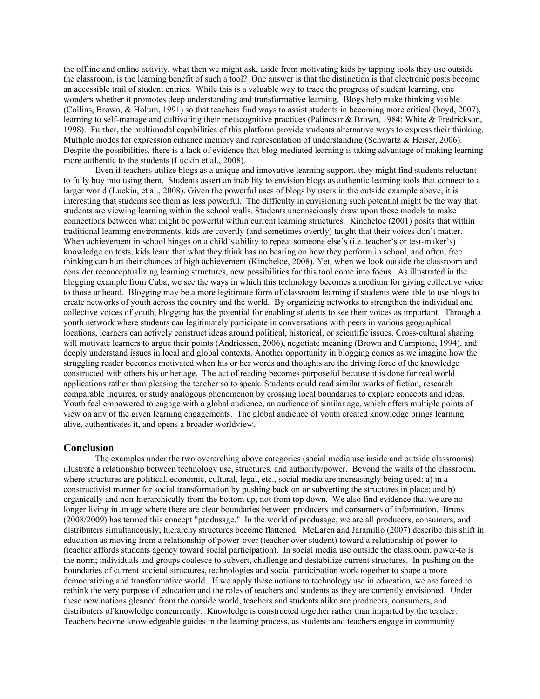the offline and online activity, what then we might ask, aside from motivating kids by tapping tools they use outside the classroom, is the learning benefit of such a tool? One answer is that the distinction is that electronic posts become an accessible trail of student entries. While this is a valuable way to trace the progress of student learning, one wonders whether it promotes deep understanding and transformative learning. Blogs help make thinking visible (Collins, Brown, & Holum, 1991) so that teachers find ways to assist students in becoming more critical (boyd, 2007), learning to self-manage and cultivating their metacognitive practices (Palincsar & Brown, 1984; White & Fredrickson, 1998). Further, the multimodal capabilities of this platform provide students alternative ways to express their thinking. Multiple modes for expression enhance memory and representation of understanding (Schwartz & Heiser, 2006). Despite the possibilities, there is a lack of evidence that blog-mediated learning is taking advantage of making learning more authentic to the students (Luckin et al., 2008).

Even if teachers utilize blogs as a unique and innovative learning support, they might find students reluctant to fully buy into using them. Students assert an inability to envision blogs as authentic learning tools that connect to a larger world (Luckin, et al., 2008). Given the powerful uses of blogs by users in the outside example above, it is interesting that students see them as less powerful. The difficulty in envisioning such potential might be the way that students are viewing learning within the school walls. Students unconsciously draw upon these models to make connections between what might be powerful within current learning structures. Kincheloe (2001) posits that within traditional learning environments, kids are covertly (and sometimes overtly) taught that their voices don't matter. When achievement in school hinges on a child's ability to repeat someone else's (i.e. teacher's or test-maker's) knowledge on tests, kids learn that what they think has no bearing on how they perform in school, and often, free thinking can hurt their chances of high achievement (Kincheloe, 2008). Yet, when we look outside the classroom and consider reconceptualizing learning structures, new possibilities for this tool come into focus. As illustrated in the blogging example from Cuba, we see the ways in which this technology becomes a medium for giving collective voice to those unheard. Blogging may be a more legitimate form of classroom learning if students were able to use blogs to create networks of youth across the country and the world. By organizing networks to strengthen the individual and collective voices of youth, blogging has the potential for enabling students to see their voices as important. Through a youth network where students can legitimately participate in conversations with peers in various geographical locations, learners can actively construct ideas around political, historical, or scientific issues. Cross-cultural sharing will motivate learners to argue their points (Andriessen, 2006), negotiate meaning (Brown and Campione, 1994), and deeply understand issues in local and global contexts. Another opportunity in blogging comes as we imagine how the struggling reader becomes motivated when his or her words and thoughts are the driving force of the knowledge constructed with others his or her age. The act of reading becomes purposeful because it is done for real world applications rather than pleasing the teacher so to speak. Students could read similar works of fiction, research comparable inquires, or study analogous phenomenon by crossing local boundaries to explore concepts and ideas. Youth feel empowered to engage with a global audience, an audience of similar age, which offers multiple points of view on any of the given learning engagements. The global audience of youth created knowledge brings learning alive, authenticates it, and opens a broader worldview.

#### **Conclusion**

The examples under the two overarching above categories (social media use inside and outside classrooms) illustrate a relationship between technology use, structures, and authority/power. Beyond the walls of the classroom, where structures are political, economic, cultural, legal, etc., social media are increasingly being used: a) in a constructivist manner for social transformation by pushing back on or subverting the structures in place; and b) organically and non-hierarchically from the bottom up, not from top down. We also find evidence that we are no longer living in an age where there are clear boundaries between producers and consumers of information. Bruns (2008/2009) has termed this concept "produsage." In the world of produsage, we are all producers, consumers, and distributers simultaneously; hierarchy structures become flattened. McLaren and Jaramillo (2007) describe this shift in education as moving from a relationship of power-over (teacher over student) toward a relationship of power-to (teacher affords students agency toward social participation). In social media use outside the classroom, power-to is the norm; individuals and groups coalesce to subvert, challenge and destabilize current structures. In pushing on the boundaries of current societal structures, technologies and social participation work together to shape a more democratizing and transformative world. If we apply these notions to technology use in education, we are forced to rethink the very purpose of education and the roles of teachers and students as they are currently envisioned. Under these new notions gleaned from the outside world, teachers and students alike are producers, consumers, and distributers of knowledge concurrently. Knowledge is constructed together rather than imparted by the teacher. Teachers become knowledgeable guides in the learning process, as students and teachers engage in community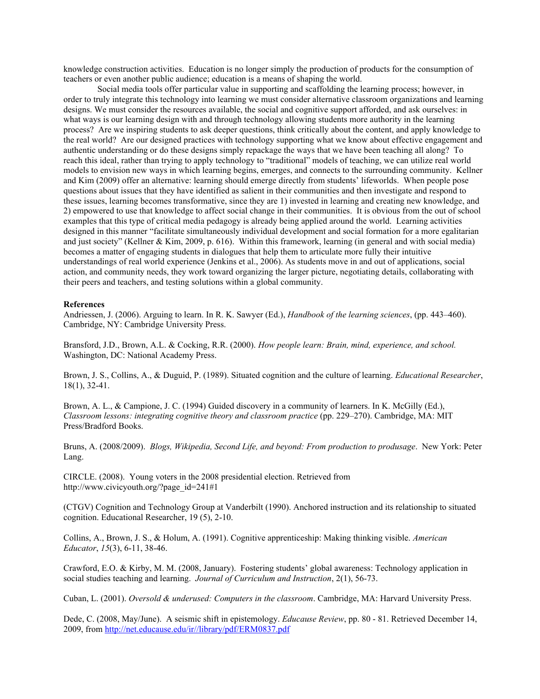knowledge construction activities. Education is no longer simply the production of products for the consumption of teachers or even another public audience; education is a means of shaping the world.

 Social media tools offer particular value in supporting and scaffolding the learning process; however, in order to truly integrate this technology into learning we must consider alternative classroom organizations and learning designs. We must consider the resources available, the social and cognitive support afforded, and ask ourselves: in what ways is our learning design with and through technology allowing students more authority in the learning process? Are we inspiring students to ask deeper questions, think critically about the content, and apply knowledge to the real world? Are our designed practices with technology supporting what we know about effective engagement and authentic understanding or do these designs simply repackage the ways that we have been teaching all along? To reach this ideal, rather than trying to apply technology to "traditional" models of teaching, we can utilize real world models to envision new ways in which learning begins, emerges, and connects to the surrounding community. Kellner and Kim (2009) offer an alternative: learning should emerge directly from students' lifeworlds. When people pose questions about issues that they have identified as salient in their communities and then investigate and respond to these issues, learning becomes transformative, since they are 1) invested in learning and creating new knowledge, and 2) empowered to use that knowledge to affect social change in their communities. It is obvious from the out of school examples that this type of critical media pedagogy is already being applied around the world. Learning activities designed in this manner "facilitate simultaneously individual development and social formation for a more egalitarian and just society" (Kellner & Kim, 2009, p. 616). Within this framework, learning (in general and with social media) becomes a matter of engaging students in dialogues that help them to articulate more fully their intuitive understandings of real world experience (Jenkins et al., 2006). As students move in and out of applications, social action, and community needs, they work toward organizing the larger picture, negotiating details, collaborating with their peers and teachers, and testing solutions within a global community.

#### **References**

Andriessen, J. (2006). Arguing to learn. In R. K. Sawyer (Ed.), *Handbook of the learning sciences*, (pp. 443–460). Cambridge, NY: Cambridge University Press.

Bransford, J.D., Brown, A.L. & Cocking, R.R. (2000). *How people learn: Brain, mind, experience, and school.* Washington, DC: National Academy Press.

Brown, J. S., Collins, A., & Duguid, P. (1989). Situated cognition and the culture of learning. *Educational Researcher*, 18(1), 32-41.

Brown, A. L., & Campione, J. C. (1994) Guided discovery in a community of learners. In K. McGilly (Ed.), *Classroom lessons: integrating cognitive theory and classroom practice* (pp. 229–270). Cambridge, MA: MIT Press/Bradford Books.

Bruns, A. (2008/2009). *Blogs, Wikipedia, Second Life, and beyond: From production to produsage*.New York: Peter Lang.

CIRCLE. (2008). Young voters in the 2008 presidential election. Retrieved from http://www.civicyouth.org/?page\_id=241#1

(CTGV) Cognition and Technology Group at Vanderbilt (1990). Anchored instruction and its relationship to situated cognition. Educational Researcher, 19 (5), 2-10.

Collins, A., Brown, J. S., & Holum, A. (1991). Cognitive apprenticeship: Making thinking visible. *American Educator*, *15*(3), 6-11, 38-46.

Crawford, E.O. & Kirby, M. M. (2008, January). Fostering students' global awareness: Technology application in social studies teaching and learning. *Journal of Curriculum and Instruction*, 2(1), 56-73.

Cuban, L. (2001). *Oversold & underused: Computers in the classroom*. Cambridge, MA: Harvard University Press.

Dede, C. (2008, May/June). A seismic shift in epistemology. *Educause Review*, pp. 80 - 81. Retrieved December 14, 2009, from http://net.educause.edu/ir//library/pdf/ERM0837.pdf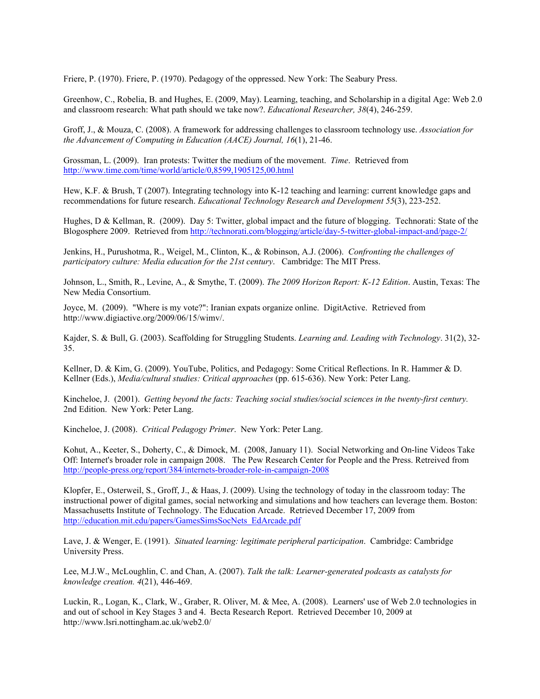Friere, P. (1970). Friere, P. (1970). Pedagogy of the oppressed. New York: The Seabury Press.

Greenhow, C., Robelia, B. and Hughes, E. (2009, May). Learning, teaching, and Scholarship in a digital Age: Web 2.0 and classroom research: What path should we take now?. *Educational Researcher, 38*(4), 246-259.

Groff, J., & Mouza, C. (2008). A framework for addressing challenges to classroom technology use. *Association for the Advancement of Computing in Education (AACE) Journal, 16*(1), 21-46.

Grossman, L. (2009). Iran protests: Twitter the medium of the movement. *Time*. Retrieved from http://www.time.com/time/world/article/0,8599,1905125,00.html

Hew, K.F. & Brush, T (2007). Integrating technology into K-12 teaching and learning: current knowledge gaps and recommendations for future research. *Educational Technology Research and Development 55*(3), 223-252.

Hughes, D & Kellman, R. (2009). Day 5: Twitter, global impact and the future of blogging. Technorati: State of the Blogosphere 2009. Retrieved from http://technorati.com/blogging/article/day-5-twitter-global-impact-and/page-2/

Jenkins, H., Purushotma, R., Weigel, M., Clinton, K., & Robinson, A.J. (2006). *Confronting the challenges of participatory culture: Media education for the 21st century*. Cambridge: The MIT Press.

Johnson, L., Smith, R., Levine, A., & Smythe, T. (2009). *The 2009 Horizon Report: K-12 Edition*. Austin, Texas: The New Media Consortium.

Joyce, M. (2009). "Where is my vote?": Iranian expats organize online. DigitActive. Retrieved from http://www.digiactive.org/2009/06/15/wimv/.

Kajder, S. & Bull, G. (2003). Scaffolding for Struggling Students. *Learning and. Leading with Technology*. 31(2), 32- 35.

Kellner, D. & Kim, G. (2009). YouTube, Politics, and Pedagogy: Some Critical Reflections. In R. Hammer & D. Kellner (Eds.), *Media/cultural studies: Critical approaches* (pp. 615-636). New York: Peter Lang.

Kincheloe, J. (2001). *Getting beyond the facts: Teaching social studies/social sciences in the twenty-first century.*  2nd Edition. New York: Peter Lang.

Kincheloe, J. (2008). *Critical Pedagogy Primer*. New York: Peter Lang.

Kohut, A., Keeter, S., Doherty, C., & Dimock, M. (2008, January 11). Social Networking and On-line Videos Take Off: Internet's broader role in campaign 2008. The Pew Research Center for People and the Press. Retreived from http://people-press.org/report/384/internets-broader-role-in-campaign-2008

Klopfer, E., Osterweil, S., Groff, J., & Haas, J. (2009). Using the technology of today in the classroom today: The instructional power of digital games, social networking and simulations and how teachers can leverage them. Boston: Massachusetts Institute of Technology. The Education Arcade. Retrieved December 17, 2009 from http://education.mit.edu/papers/GamesSimsSocNets\_EdArcade.pdf

Lave, J. & Wenger, E. (1991). *Situated learning: legitimate peripheral participation*. Cambridge: Cambridge University Press.

Lee, M.J.W., McLoughlin, C. and Chan, A. (2007). *Talk the talk: Learner-generated podcasts as catalysts for knowledge creation. 4*(21), 446-469.

Luckin, R., Logan, K., Clark, W., Graber, R. Oliver, M. & Mee, A. (2008). Learners' use of Web 2.0 technologies in and out of school in Key Stages 3 and 4. Becta Research Report. Retrieved December 10, 2009 at http://www.lsri.nottingham.ac.uk/web2.0/